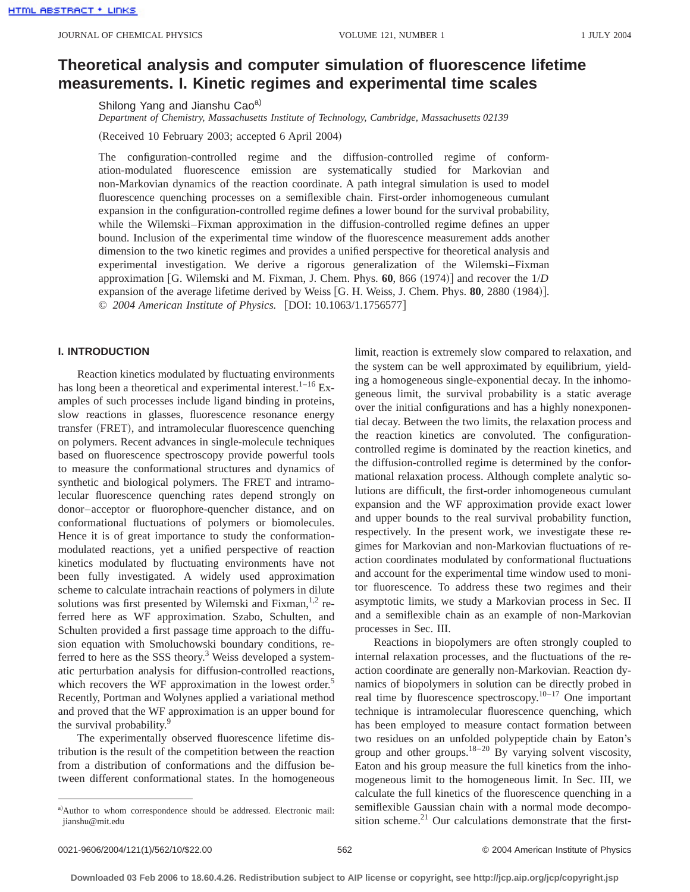# **Theoretical analysis and computer simulation of fluorescence lifetime measurements. I. Kinetic regimes and experimental time scales**

Shilong Yang and Jianshu Cao<sup>a)</sup>

*Department of Chemistry, Massachusetts Institute of Technology, Cambridge, Massachusetts 02139*

(Received 10 February 2003; accepted 6 April 2004)

The configuration-controlled regime and the diffusion-controlled regime of conformation-modulated fluorescence emission are systematically studied for Markovian and non-Markovian dynamics of the reaction coordinate. A path integral simulation is used to model fluorescence quenching processes on a semiflexible chain. First-order inhomogeneous cumulant expansion in the configuration-controlled regime defines a lower bound for the survival probability, while the Wilemski–Fixman approximation in the diffusion-controlled regime defines an upper bound. Inclusion of the experimental time window of the fluorescence measurement adds another dimension to the two kinetic regimes and provides a unified perspective for theoretical analysis and experimental investigation. We derive a rigorous generalization of the Wilemski–Fixman approximation [G. Wilemski and M. Fixman, J. Chem. Phys.  $60$ , 866  $(1974)$ ] and recover the  $1/D$ expansion of the average lifetime derived by Weiss [G. H. Weiss, J. Chem. Phys. 80, 2880 (1984)]. © *2004 American Institute of Physics.* [DOI: 10.1063/1.1756577]

## **I. INTRODUCTION**

Reaction kinetics modulated by fluctuating environments has long been a theoretical and experimental interest.<sup>1–16</sup> Examples of such processes include ligand binding in proteins, slow reactions in glasses, fluorescence resonance energy transfer (FRET), and intramolecular fluorescence quenching on polymers. Recent advances in single-molecule techniques based on fluorescence spectroscopy provide powerful tools to measure the conformational structures and dynamics of synthetic and biological polymers. The FRET and intramolecular fluorescence quenching rates depend strongly on donor–acceptor or fluorophore-quencher distance, and on conformational fluctuations of polymers or biomolecules. Hence it is of great importance to study the conformationmodulated reactions, yet a unified perspective of reaction kinetics modulated by fluctuating environments have not been fully investigated. A widely used approximation scheme to calculate intrachain reactions of polymers in dilute solutions was first presented by Wilemski and Fixman,  $1,2$  referred here as WF approximation. Szabo, Schulten, and Schulten provided a first passage time approach to the diffusion equation with Smoluchowski boundary conditions, referred to here as the SSS theory.<sup>3</sup> Weiss developed a systematic perturbation analysis for diffusion-controlled reactions, which recovers the WF approximation in the lowest order.<sup>5</sup> Recently, Portman and Wolynes applied a variational method and proved that the WF approximation is an upper bound for the survival probability.<sup>9</sup>

The experimentally observed fluorescence lifetime distribution is the result of the competition between the reaction from a distribution of conformations and the diffusion between different conformational states. In the homogeneous limit, reaction is extremely slow compared to relaxation, and the system can be well approximated by equilibrium, yielding a homogeneous single-exponential decay. In the inhomogeneous limit, the survival probability is a static average over the initial configurations and has a highly nonexponential decay. Between the two limits, the relaxation process and the reaction kinetics are convoluted. The configurationcontrolled regime is dominated by the reaction kinetics, and the diffusion-controlled regime is determined by the conformational relaxation process. Although complete analytic solutions are difficult, the first-order inhomogeneous cumulant expansion and the WF approximation provide exact lower and upper bounds to the real survival probability function, respectively. In the present work, we investigate these regimes for Markovian and non-Markovian fluctuations of reaction coordinates modulated by conformational fluctuations and account for the experimental time window used to monitor fluorescence. To address these two regimes and their asymptotic limits, we study a Markovian process in Sec. II and a semiflexible chain as an example of non-Markovian processes in Sec. III.

Reactions in biopolymers are often strongly coupled to internal relaxation processes, and the fluctuations of the reaction coordinate are generally non-Markovian. Reaction dynamics of biopolymers in solution can be directly probed in real time by fluorescence spectroscopy.<sup>10–17</sup> One important technique is intramolecular fluorescence quenching, which has been employed to measure contact formation between two residues on an unfolded polypeptide chain by Eaton's group and other groups.<sup>18–20</sup> By varying solvent viscosity, Eaton and his group measure the full kinetics from the inhomogeneous limit to the homogeneous limit. In Sec. III, we calculate the full kinetics of the fluorescence quenching in a semiflexible Gaussian chain with a normal mode decomposition scheme.<sup>21</sup> Our calculations demonstrate that the first-

a)Author to whom correspondence should be addressed. Electronic mail: jianshu@mit.edu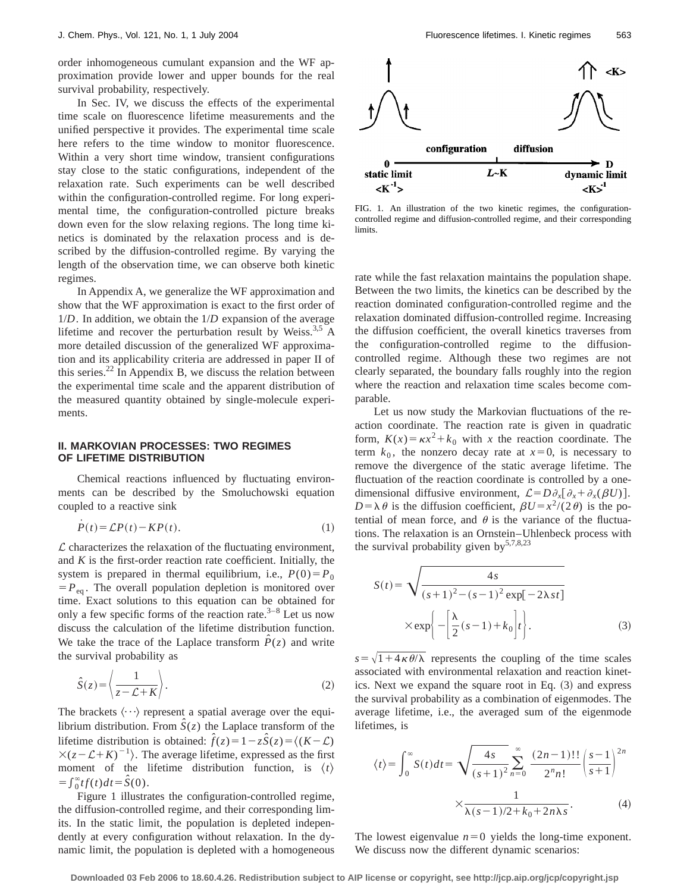order inhomogeneous cumulant expansion and the WF approximation provide lower and upper bounds for the real survival probability, respectively.

In Sec. IV, we discuss the effects of the experimental time scale on fluorescence lifetime measurements and the unified perspective it provides. The experimental time scale here refers to the time window to monitor fluorescence. Within a very short time window, transient configurations stay close to the static configurations, independent of the relaxation rate. Such experiments can be well described within the configuration-controlled regime. For long experimental time, the configuration-controlled picture breaks down even for the slow relaxing regions. The long time kinetics is dominated by the relaxation process and is described by the diffusion-controlled regime. By varying the length of the observation time, we can observe both kinetic regimes.

In Appendix A, we generalize the WF approximation and show that the WF approximation is exact to the first order of 1/*D*. In addition, we obtain the 1/*D* expansion of the average lifetime and recover the perturbation result by Weiss.<sup>3,5</sup> A more detailed discussion of the generalized WF approximation and its applicability criteria are addressed in paper II of this series. $^{22}$  In Appendix B, we discuss the relation between the experimental time scale and the apparent distribution of the measured quantity obtained by single-molecule experiments.

### **II. MARKOVIAN PROCESSES: TWO REGIMES OF LIFETIME DISTRIBUTION**

Chemical reactions influenced by fluctuating environments can be described by the Smoluchowski equation coupled to a reactive sink

$$
\dot{P}(t) = \mathcal{L}P(t) - KP(t). \tag{1}
$$

 $\mathcal L$  characterizes the relaxation of the fluctuating environment, and  $K$  is the first-order reaction rate coefficient. Initially, the system is prepared in thermal equilibrium, i.e.,  $P(0) = P_0$  $= P_{eq}$ . The overall population depletion is monitored over time. Exact solutions to this equation can be obtained for only a few specific forms of the reaction rate. $3-8$  Let us now discuss the calculation of the lifetime distribution function. We take the trace of the Laplace transform  $\hat{P}(z)$  and write the survival probability as

$$
\hat{S}(z) = \left\langle \frac{1}{z - \mathcal{L} + K} \right\rangle. \tag{2}
$$

The brackets  $\langle \cdots \rangle$  represent a spatial average over the equilibrium distribution. From  $\hat{S}(z)$  the Laplace transform of the lifetime distribution is obtained:  $\hat{f}(z) = 1 - z\hat{S}(z) = \langle (K - \mathcal{L}) \rangle$  $\times(z-\mathcal{L}+K)^{-1}$ . The average lifetime, expressed as the first moment of the lifetime distribution function, is  $\langle t \rangle$  $=\int_0^\infty tf(t)dt = \hat{S}(0).$ 

Figure 1 illustrates the configuration-controlled regime, the diffusion-controlled regime, and their corresponding limits. In the static limit, the population is depleted independently at every configuration without relaxation. In the dynamic limit, the population is depleted with a homogeneous



FIG. 1. An illustration of the two kinetic regimes, the configurationcontrolled regime and diffusion-controlled regime, and their corresponding limits.

rate while the fast relaxation maintains the population shape. Between the two limits, the kinetics can be described by the reaction dominated configuration-controlled regime and the relaxation dominated diffusion-controlled regime. Increasing the diffusion coefficient, the overall kinetics traverses from the configuration-controlled regime to the diffusioncontrolled regime. Although these two regimes are not clearly separated, the boundary falls roughly into the region where the reaction and relaxation time scales become comparable.

Let us now study the Markovian fluctuations of the reaction coordinate. The reaction rate is given in quadratic form,  $K(x) = \kappa x^2 + k_0$  with *x* the reaction coordinate. The term  $k_0$ , the nonzero decay rate at  $x=0$ , is necessary to remove the divergence of the static average lifetime. The fluctuation of the reaction coordinate is controlled by a onedimensional diffusive environment,  $\mathcal{L} = D \partial_x [\partial_x + \partial_x (\beta U)].$  $D = \lambda \theta$  is the diffusion coefficient,  $\beta U = x^2/(2\theta)$  is the potential of mean force, and  $\theta$  is the variance of the fluctuations. The relaxation is an Ornstein–Uhlenbeck process with the survival probability given by  $5,7,8,23$ 

$$
S(t) = \sqrt{\frac{4s}{(s+1)^2 - (s-1)^2 \exp[-2\lambda st]}}
$$

$$
\times \exp\left\{-\left[\frac{\lambda}{2}(s-1) + k_0\right]t\right\}.
$$
 (3)

 $s=\sqrt{1+4\kappa\theta/\lambda}$  represents the coupling of the time scales associated with environmental relaxation and reaction kinetics. Next we expand the square root in Eq.  $(3)$  and express the survival probability as a combination of eigenmodes. The average lifetime, i.e., the averaged sum of the eigenmode lifetimes, is

$$
\langle t \rangle = \int_0^\infty S(t)dt = \sqrt{\frac{4s}{(s+1)^2}} \sum_{n=0}^\infty \frac{(2n-1)!!}{2^n n!} \left(\frac{s-1}{s+1}\right)^{2n} \times \frac{1}{\lambda(s-1)/2 + k_0 + 2n\lambda s}.
$$
 (4)

The lowest eigenvalue  $n=0$  yields the long-time exponent. We discuss now the different dynamic scenarios: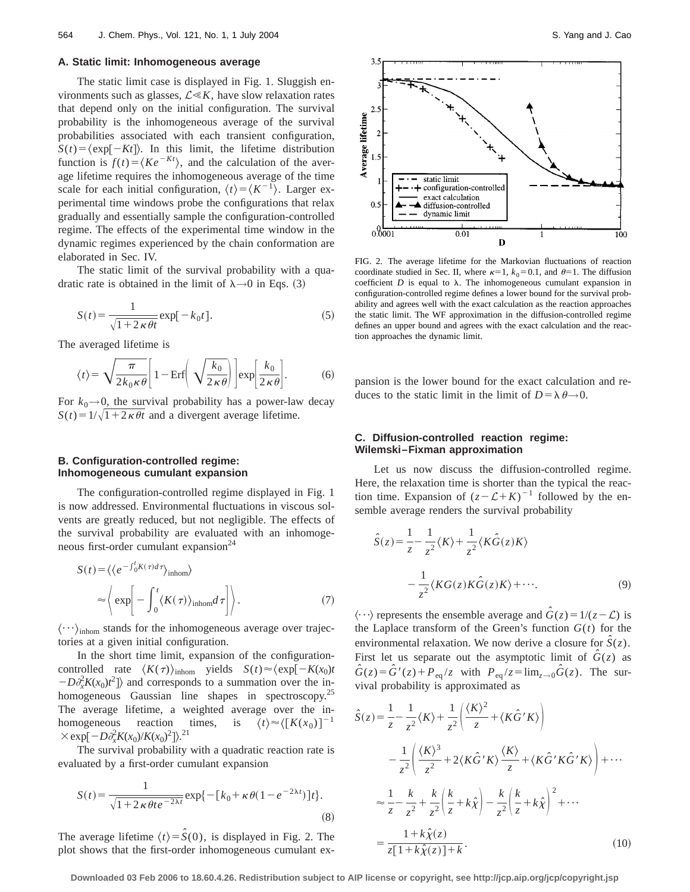#### **A. Static limit: Inhomogeneous average**

The static limit case is displayed in Fig. 1. Sluggish environments such as glasses,  $\mathcal{L} \ll K$ , have slow relaxation rates that depend only on the initial configuration. The survival probability is the inhomogeneous average of the survival probabilities associated with each transient configuration,  $S(t) = \langle \exp[-Kt] \rangle$ . In this limit, the lifetime distribution function is  $f(t) = \langle Ke^{-Kt} \rangle$ , and the calculation of the average lifetime requires the inhomogeneous average of the time scale for each initial configuration,  $\langle t \rangle = \langle K^{-1} \rangle$ . Larger experimental time windows probe the configurations that relax gradually and essentially sample the configuration-controlled regime. The effects of the experimental time window in the dynamic regimes experienced by the chain conformation are elaborated in Sec. IV.

The static limit of the survival probability with a quadratic rate is obtained in the limit of  $\lambda \rightarrow 0$  in Eqs. (3)

$$
S(t) = \frac{1}{\sqrt{1 + 2\kappa \theta t}} \exp[-k_0 t].
$$
 (5)

The averaged lifetime is

$$
\langle t \rangle = \sqrt{\frac{\pi}{2k_0 \kappa \theta}} \left[ 1 - \text{Erf} \left( \sqrt{\frac{k_0}{2 \kappa \theta}} \right) \right] \exp \left[ \frac{k_0}{2 \kappa \theta} \right]. \tag{6}
$$

For  $k_0 \rightarrow 0$ , the survival probability has a power-law decay  $S(t) = 1/\sqrt{1+2\kappa\theta t}$  and a divergent average lifetime.

## **B. Configuration-controlled regime: Inhomogeneous cumulant expansion**

The configuration-controlled regime displayed in Fig. 1 is now addressed. Environmental fluctuations in viscous solvents are greatly reduced, but not negligible. The effects of the survival probability are evaluated with an inhomogeneous first-order cumulant expansion $^{24}$ 

$$
S(t) = \langle \langle e^{-\int_0^t K(\tau)d\tau} \rangle_{\text{inhom}} \rangle
$$
  
\n
$$
\approx \langle \exp \left[ -\int_0^t \langle K(\tau) \rangle_{\text{inhom}} d\tau \right] \rangle.
$$
 (7)

 $\langle \cdots \rangle$ <sub>inhom</sub> stands for the inhomogeneous average over trajectories at a given initial configuration.

In the short time limit, expansion of the configurationcontrolled rate  $\langle K(\tau)\rangle_{\text{inhom}}$  yields  $S(t) \approx \langle \exp[-K(x_0)t]$  $-D\partial_x^2 K(x_0)t^2$  and corresponds to a summation over the inhomogeneous Gaussian line shapes in spectroscopy.<sup>25</sup> The average lifetime, a weighted average over the inhomogeneous reaction times, is  $\langle t \rangle \approx \langle [K(x_0)]^{-1}$  $\times$  exp[ $-D\partial_x^2 K(x_0)/K(x_0)^2$ ]).<sup>21</sup>

The survival probability with a quadratic reaction rate is evaluated by a first-order cumulant expansion

$$
S(t) = \frac{1}{\sqrt{1 + 2\kappa \theta t e^{-2\lambda t}}} \exp\{-[k_0 + \kappa \theta (1 - e^{-2\lambda t})]t\}.
$$
\n(8)

The average lifetime  $\langle t \rangle = \hat{S}(0)$ , is displayed in Fig. 2. The plot shows that the first-order inhomogeneous cumulant ex-



FIG. 2. The average lifetime for the Markovian fluctuations of reaction coordinate studied in Sec. II, where  $\kappa=1$ ,  $k_0=0.1$ , and  $\theta=1$ . The diffusion coefficient  $D$  is equal to  $\lambda$ . The inhomogeneous cumulant expansion in configuration-controlled regime defines a lower bound for the survival probability and agrees well with the exact calculation as the reaction approaches the static limit. The WF approximation in the diffusion-controlled regime defines an upper bound and agrees with the exact calculation and the reaction approaches the dynamic limit.

pansion is the lower bound for the exact calculation and reduces to the static limit in the limit of  $D = \lambda \theta \rightarrow 0$ .

#### **C. Diffusion-controlled reaction regime: Wilemski–Fixman approximation**

Let us now discuss the diffusion-controlled regime. Here, the relaxation time is shorter than the typical the reaction time. Expansion of  $(z - \mathcal{L} + K)^{-1}$  followed by the ensemble average renders the survival probability

$$
\hat{S}(z) = \frac{1}{z} - \frac{1}{z^2} \langle K \rangle + \frac{1}{z^2} \langle K \hat{G}(z) K \rangle
$$

$$
-\frac{1}{z^2} \langle K G(z) K \hat{G}(z) K \rangle + \cdots. \tag{9}
$$

 $\langle \cdots \rangle$  represents the ensemble average and  $\hat{G}(z) = 1/(z-\mathcal{L})$  is the Laplace transform of the Green's function  $G(t)$  for the environmental relaxation. We now derive a closure for  $\hat{S}(z)$ . First let us separate out the asymptotic limit of  $\hat{G}(z)$  as  $G(z) = \hat{G}'(z) + P_{eq}/z$  with  $P_{eq}/z = \lim_{z \to 0} \hat{G}(z)$ . The survival probability is approximated as

$$
\hat{S}(z) = \frac{1}{z} - \frac{1}{z^2} \langle K \rangle + \frac{1}{z^2} \left( \frac{\langle K \rangle^2}{z} + \langle K \hat{G}^{\'} K \rangle \right)
$$
  
\n
$$
- \frac{1}{z^2} \left( \frac{\langle K \rangle^3}{z^2} + 2 \langle K \hat{G}^{\'} K \rangle \frac{\langle K \rangle}{z} + \langle K \hat{G}^{\'} K \hat{G}^{\'} K \rangle \right) + \cdots
$$
  
\n
$$
\approx \frac{1}{z} - \frac{k}{z^2} + \frac{k}{z^2} \left( \frac{k}{z} + k \hat{\chi} \right) - \frac{k}{z^2} \left( \frac{k}{z} + k \hat{\chi} \right)^2 + \cdots
$$
  
\n
$$
= \frac{1 + k \hat{\chi}(z)}{z[1 + k \hat{\chi}(z)] + k}.
$$
 (10)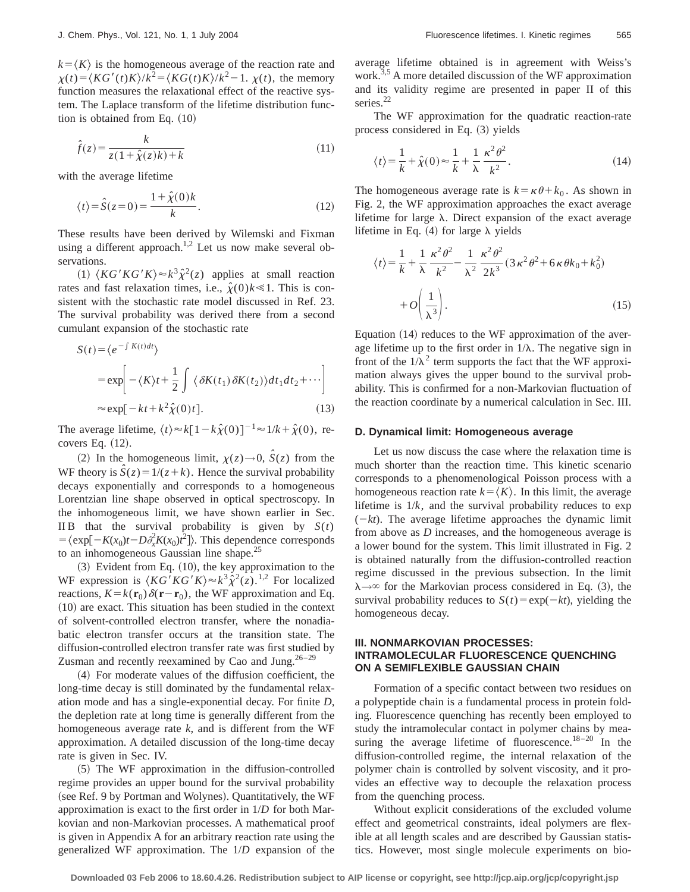$k = \langle K \rangle$  is the homogeneous average of the reaction rate and  $\chi(t) = \langle KG'(t)K \rangle/k^2 = \langle KG(t)K \rangle/k^2 - 1$ .  $\chi(t)$ , the memory function measures the relaxational effect of the reactive system. The Laplace transform of the lifetime distribution function is obtained from Eq.  $(10)$ 

$$
\hat{f}(z) = \frac{k}{z(1 + \hat{\chi}(z)k) + k} \tag{11}
$$

with the average lifetime

$$
\langle t \rangle = \hat{S}(z=0) = \frac{1 + \hat{\chi}(0)k}{k}.
$$
 (12)

These results have been derived by Wilemski and Fixman using a different approach.<sup>1,2</sup> Let us now make several observations.

 $(1)$   $\langle KG^{\prime}KG^{\prime}KG^{\prime}K\rangle \approx k^3\hat{\chi}^2(z)$  applies at small reaction rates and fast relaxation times, i.e.,  $\hat{\chi}(0)k \ll 1$ . This is consistent with the stochastic rate model discussed in Ref. 23. The survival probability was derived there from a second cumulant expansion of the stochastic rate

$$
S(t) = \langle e^{-\int K(t)dt} \rangle
$$
  
=  $\exp\left[ -\langle K \rangle t + \frac{1}{2} \int \langle \delta K(t_1) \delta K(t_2) \rangle dt_1 dt_2 + \cdots \right]$   
 $\approx \exp[-kt + k^2 \hat{\chi}(0)t].$  (13)

The average lifetime,  $\langle t \rangle \approx k[1 - k\hat{\chi}(0)]^{-1} \approx 1/k + \hat{\chi}(0)$ , recovers Eq.  $(12)$ .

(2) In the homogeneous limit,  $\chi(z) \rightarrow 0$ ,  $\hat{S}(z)$  from the WF theory is  $\hat{S}(z) = 1/(z + k)$ . Hence the survival probability decays exponentially and corresponds to a homogeneous Lorentzian line shape observed in optical spectroscopy. In the inhomogeneous limit, we have shown earlier in Sec. IIB that the survival probability is given by  $S(t)$  $= \langle \exp[-K(x_0)t - D\partial_x^2 K(x_0)t^2] \rangle$ . This dependence corresponds to an inhomogeneous Gaussian line shape.<sup>25</sup>

 $(3)$  Evident from Eq.  $(10)$ , the key approximation to the WF expression is  $\langle KG'KG'K\rangle \approx k^3 \hat{\chi}^2(z)$ .<sup>1,2</sup> For localized reactions,  $K = k(\mathbf{r}_0) \delta(\mathbf{r} - \mathbf{r}_0)$ , the WF approximation and Eq.  $(10)$  are exact. This situation has been studied in the context of solvent-controlled electron transfer, where the nonadiabatic electron transfer occurs at the transition state. The diffusion-controlled electron transfer rate was first studied by Zusman and recently reexamined by Cao and Jung. $26-29$ 

~4! For moderate values of the diffusion coefficient, the long-time decay is still dominated by the fundamental relaxation mode and has a single-exponential decay. For finite *D*, the depletion rate at long time is generally different from the homogeneous average rate *k*, and is different from the WF approximation. A detailed discussion of the long-time decay rate is given in Sec. IV.

 $(5)$  The WF approximation in the diffusion-controlled regime provides an upper bound for the survival probability (see Ref. 9 by Portman and Wolynes). Quantitatively, the WF approximation is exact to the first order in 1/*D* for both Markovian and non-Markovian processes. A mathematical proof is given in Appendix A for an arbitrary reaction rate using the generalized WF approximation. The 1/*D* expansion of the average lifetime obtained is in agreement with Weiss's work.<sup>3,5</sup> A more detailed discussion of the WF approximation and its validity regime are presented in paper II of this series.<sup>22</sup>

The WF approximation for the quadratic reaction-rate process considered in Eq.  $(3)$  yields

$$
\langle t \rangle = \frac{1}{k} + \hat{\chi}(0) \approx \frac{1}{k} + \frac{1}{\lambda} \frac{\kappa^2 \theta^2}{k^2}.
$$
 (14)

The homogeneous average rate is  $k = \kappa \theta + k_0$ . As shown in Fig. 2, the WF approximation approaches the exact average lifetime for large  $\lambda$ . Direct expansion of the exact average lifetime in Eq.  $(4)$  for large  $\lambda$  yields

$$
\langle t \rangle = \frac{1}{k} + \frac{1}{\lambda} \frac{\kappa^2 \theta^2}{k^2} - \frac{1}{\lambda^2} \frac{\kappa^2 \theta^2}{2k^3} (3 \kappa^2 \theta^2 + 6 \kappa \theta k_0 + k_0^2)
$$

$$
+ O\left(\frac{1}{\lambda^3}\right). \tag{15}
$$

Equation  $(14)$  reduces to the WF approximation of the average lifetime up to the first order in  $1/\lambda$ . The negative sign in front of the  $1/\lambda^2$  term supports the fact that the WF approximation always gives the upper bound to the survival probability. This is confirmed for a non-Markovian fluctuation of the reaction coordinate by a numerical calculation in Sec. III.

#### **D. Dynamical limit: Homogeneous average**

Let us now discuss the case where the relaxation time is much shorter than the reaction time. This kinetic scenario corresponds to a phenomenological Poisson process with a homogeneous reaction rate  $k=\langle K \rangle$ . In this limit, the average lifetime is  $1/k$ , and the survival probability reduces to  $exp$  $(-kt)$ . The average lifetime approaches the dynamic limit from above as *D* increases, and the homogeneous average is a lower bound for the system. This limit illustrated in Fig. 2 is obtained naturally from the diffusion-controlled reaction regime discussed in the previous subsection. In the limit  $\lambda \rightarrow \infty$  for the Markovian process considered in Eq. (3), the survival probability reduces to  $S(t) = \exp(-kt)$ , yielding the homogeneous decay.

## **III. NONMARKOVIAN PROCESSES: INTRAMOLECULAR FLUORESCENCE QUENCHING ON A SEMIFLEXIBLE GAUSSIAN CHAIN**

Formation of a specific contact between two residues on a polypeptide chain is a fundamental process in protein folding. Fluorescence quenching has recently been employed to study the intramolecular contact in polymer chains by measuring the average lifetime of fluorescence.<sup>18-20</sup> In the diffusion-controlled regime, the internal relaxation of the polymer chain is controlled by solvent viscosity, and it provides an effective way to decouple the relaxation process from the quenching process.

Without explicit considerations of the excluded volume effect and geometrical constraints, ideal polymers are flexible at all length scales and are described by Gaussian statistics. However, most single molecule experiments on bio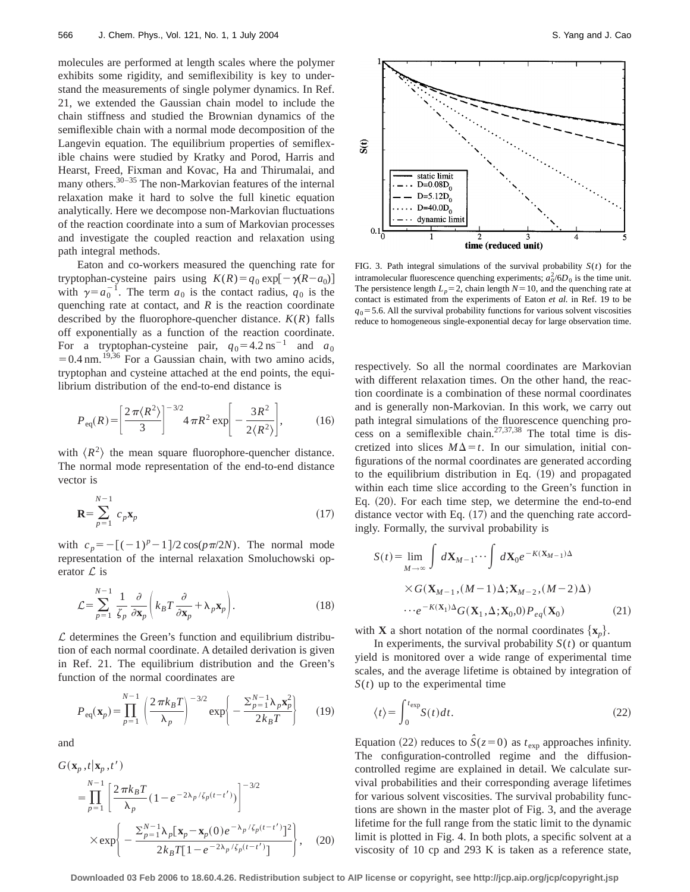molecules are performed at length scales where the polymer exhibits some rigidity, and semiflexibility is key to understand the measurements of single polymer dynamics. In Ref. 21, we extended the Gaussian chain model to include the chain stiffness and studied the Brownian dynamics of the semiflexible chain with a normal mode decomposition of the Langevin equation. The equilibrium properties of semiflexible chains were studied by Kratky and Porod, Harris and Hearst, Freed, Fixman and Kovac, Ha and Thirumalai, and many others.<sup>30–35</sup> The non-Markovian features of the internal relaxation make it hard to solve the full kinetic equation analytically. Here we decompose non-Markovian fluctuations of the reaction coordinate into a sum of Markovian processes and investigate the coupled reaction and relaxation using path integral methods.

Eaton and co-workers measured the quenching rate for tryptophan-cysteine pairs using  $K(R) = q_0 \exp[-\gamma(R - a_0)]$ with  $\gamma = a_0^{-1}$ . The term  $a_0$  is the contact radius,  $q_0$  is the quenching rate at contact, and *R* is the reaction coordinate described by the fluorophore-quencher distance. *K*(*R*) falls off exponentially as a function of the reaction coordinate. For a tryptophan-cysteine pair,  $q_0 = 4.2 \text{ ns}^{-1}$  and  $a_0$  $=0.4$  nm.<sup>19,36</sup> For a Gaussian chain, with two amino acids, tryptophan and cysteine attached at the end points, the equilibrium distribution of the end-to-end distance is

$$
P_{\text{eq}}(R) = \left[\frac{2\,\pi \langle R^2 \rangle}{3}\right]^{-3/2} 4\,\pi R^2 \exp\bigg[-\frac{3R^2}{2\langle R^2 \rangle}\bigg],\tag{16}
$$

with  $\langle R^2 \rangle$  the mean square fluorophore-quencher distance. The normal mode representation of the end-to-end distance vector is

$$
\mathbf{R} = \sum_{p=1}^{N-1} c_p \mathbf{x}_p \tag{17}
$$

with  $c_p = -[(-1)^p - 1]/2 \cos(p\pi/2N)$ . The normal mode representation of the internal relaxation Smoluchowski operator  $\mathcal{L}$  is

$$
\mathcal{L} = \sum_{p=1}^{N-1} \frac{1}{\zeta_p} \frac{\partial}{\partial \mathbf{x}_p} \left( k_B T \frac{\partial}{\partial \mathbf{x}_p} + \lambda_p \mathbf{x}_p \right).
$$
 (18)

 $\mathcal L$  determines the Green's function and equilibrium distribution of each normal coordinate. A detailed derivation is given in Ref. 21. The equilibrium distribution and the Green's function of the normal coordinates are

$$
P_{\text{eq}}(\mathbf{x}_p) = \prod_{p=1}^{N-1} \left( \frac{2 \pi k_B T}{\lambda_p} \right)^{-3/2} \exp \left( -\frac{\sum_{p=1}^{N-1} \lambda_p \mathbf{x}_p^2}{2k_B T} \right) \tag{19}
$$

and

$$
G(\mathbf{x}_p, t | \mathbf{x}_p, t')
$$
  
=  $\prod_{p=1}^{N-1} \left[ \frac{2 \pi k_B T}{\lambda_p} (1 - e^{-2\lambda_p/\zeta_p(t - t')}) \right]^{-3/2}$   

$$
\times \exp \left\{ -\frac{\sum_{p=1}^{N-1} \lambda_p [\mathbf{x}_p - \mathbf{x}_p(0) e^{-\lambda_p/\zeta_p(t - t')}]^2}{2k_B T [1 - e^{-2\lambda_p/\zeta_p(t - t')}]} \right\},
$$
(20)



FIG. 3. Path integral simulations of the survival probability  $S(t)$  for the intramolecular fluorescence quenching experiments;  $a_0^2/6D_0$  is the time unit. The persistence length  $L_p=2$ , chain length  $N=10$ , and the quenching rate at contact is estimated from the experiments of Eaton *et al.* in Ref. 19 to be  $q<sub>0</sub>=5.6$ . All the survival probability functions for various solvent viscosities reduce to homogeneous single-exponential decay for large observation time.

respectively. So all the normal coordinates are Markovian with different relaxation times. On the other hand, the reaction coordinate is a combination of these normal coordinates and is generally non-Markovian. In this work, we carry out path integral simulations of the fluorescence quenching process on a semiflexible chain.<sup>27,37,38</sup> The total time is discretized into slices  $M\Delta = t$ . In our simulation, initial configurations of the normal coordinates are generated according to the equilibrium distribution in Eq.  $(19)$  and propagated within each time slice according to the Green's function in Eq.  $(20)$ . For each time step, we determine the end-to-end distance vector with Eq.  $(17)$  and the quenching rate accordingly. Formally, the survival probability is

$$
S(t) = \lim_{M \to \infty} \int d\mathbf{X}_{M-1} \cdots \int d\mathbf{X}_0 e^{-K(\mathbf{X}_{M-1})\Delta}
$$

$$
\times G(\mathbf{X}_{M-1}, (M-1)\Delta; \mathbf{X}_{M-2}, (M-2)\Delta)
$$

$$
\cdots e^{-K(\mathbf{X}_1)\Delta} G(\mathbf{X}_1, \Delta; \mathbf{X}_0, 0) P_{eq}(\mathbf{X}_0)
$$
(21)

with **X** a short notation of the normal coordinates  $\{x_n\}$ .

In experiments, the survival probability  $S(t)$  or quantum yield is monitored over a wide range of experimental time scales, and the average lifetime is obtained by integration of *S*(*t*) up to the experimental time

$$
\langle t \rangle = \int_0^{t_{\text{exp}}} S(t) dt.
$$
 (22)

Equation (22) reduces to  $\hat{S}(z=0)$  as  $t_{exp}$  approaches infinity. The configuration-controlled regime and the diffusioncontrolled regime are explained in detail. We calculate survival probabilities and their corresponding average lifetimes for various solvent viscosities. The survival probability functions are shown in the master plot of Fig. 3, and the average lifetime for the full range from the static limit to the dynamic limit is plotted in Fig. 4. In both plots, a specific solvent at a viscosity of 10 cp and 293 K is taken as a reference state,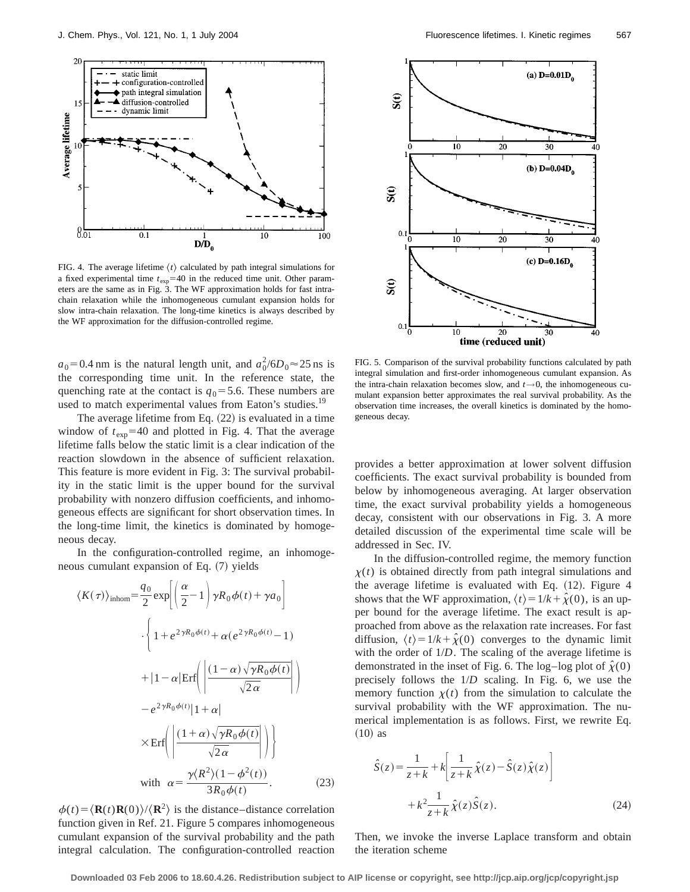

FIG. 4. The average lifetime  $\langle t \rangle$  calculated by path integral simulations for a fixed experimental time  $t_{exp}$ =40 in the reduced time unit. Other parameters are the same as in Fig. 3. The WF approximation holds for fast intrachain relaxation while the inhomogeneous cumulant expansion holds for slow intra-chain relaxation. The long-time kinetics is always described by the WF approximation for the diffusion-controlled regime.

 $a_0 = 0.4$  nm is the natural length unit, and  $a_0^2 / 6D_0 \approx 25$  ns is the corresponding time unit. In the reference state, the quenching rate at the contact is  $q_0$ =5.6. These numbers are used to match experimental values from Eaton's studies.<sup>19</sup>

The average lifetime from Eq.  $(22)$  is evaluated in a time window of  $t_{exp}$ =40 and plotted in Fig. 4. That the average lifetime falls below the static limit is a clear indication of the reaction slowdown in the absence of sufficient relaxation. This feature is more evident in Fig. 3: The survival probability in the static limit is the upper bound for the survival probability with nonzero diffusion coefficients, and inhomogeneous effects are significant for short observation times. In the long-time limit, the kinetics is dominated by homogeneous decay.

In the configuration-controlled regime, an inhomogeneous cumulant expansion of Eq.  $(7)$  yields

$$
\langle K(\tau) \rangle_{\text{inhom}} = \frac{q_0}{2} \exp \left[ \left( \frac{\alpha}{2} - 1 \right) \gamma R_0 \phi(t) + \gamma a_0 \right]
$$

$$
\cdot \left\{ 1 + e^{2\gamma R_0 \phi(t)} + \alpha (e^{2\gamma R_0 \phi(t)} - 1) + |1 - \alpha| \mathrm{Erf} \left( \frac{\left( 1 - \alpha \right) \sqrt{\gamma R_0 \phi(t)}}{\sqrt{2\alpha}} \right) \right\}
$$

$$
- e^{2\gamma R_0 \phi(t)} |1 + \alpha|
$$

$$
\times \mathrm{Erf} \left( \left| \frac{\left( 1 + \alpha \right) \sqrt{\gamma R_0 \phi(t)}}{\sqrt{2\alpha}} \right| \right)
$$

$$
\text{with } \alpha = \frac{\gamma \langle R^2 \rangle (1 - \phi^2(t))}{3R_0 \phi(t)}.
$$
(23)

 $\phi(t) = \langle \mathbf{R}(t) \mathbf{R}(0) \rangle / \langle \mathbf{R}^2 \rangle$  is the distance–distance correlation function given in Ref. 21. Figure 5 compares inhomogeneous cumulant expansion of the survival probability and the path integral calculation. The configuration-controlled reaction



FIG. 5. Comparison of the survival probability functions calculated by path integral simulation and first-order inhomogeneous cumulant expansion. As the intra-chain relaxation becomes slow, and  $t \rightarrow 0$ , the inhomogeneous cumulant expansion better approximates the real survival probability. As the observation time increases, the overall kinetics is dominated by the homogeneous decay.

provides a better approximation at lower solvent diffusion coefficients. The exact survival probability is bounded from below by inhomogeneous averaging. At larger observation time, the exact survival probability yields a homogeneous decay, consistent with our observations in Fig. 3. A more detailed discussion of the experimental time scale will be addressed in Sec. IV.

In the diffusion-controlled regime, the memory function  $x(t)$  is obtained directly from path integral simulations and the average lifetime is evaluated with Eq.  $(12)$ . Figure 4 shows that the WF approximation,  $\langle t \rangle = 1/k + \hat{\chi}(0)$ , is an upper bound for the average lifetime. The exact result is approached from above as the relaxation rate increases. For fast diffusion,  $\langle t \rangle = 1/k + \hat{\chi}(0)$  converges to the dynamic limit with the order of 1/*D*. The scaling of the average lifetime is demonstrated in the inset of Fig. 6. The log–log plot of  $\hat{\chi}(0)$ precisely follows the 1/*D* scaling. In Fig. 6, we use the memory function  $\chi(t)$  from the simulation to calculate the survival probability with the WF approximation. The numerical implementation is as follows. First, we rewrite Eq.  $(10)$  as

$$
\hat{S}(z) = \frac{1}{z+k} + k \left| \frac{1}{z+k} \hat{\chi}(z) - \hat{S}(z) \hat{\chi}(z) \right|
$$

$$
+ k^2 \frac{1}{z+k} \hat{\chi}(z) \hat{S}(z).
$$
(24)

Then, we invoke the inverse Laplace transform and obtain the iteration scheme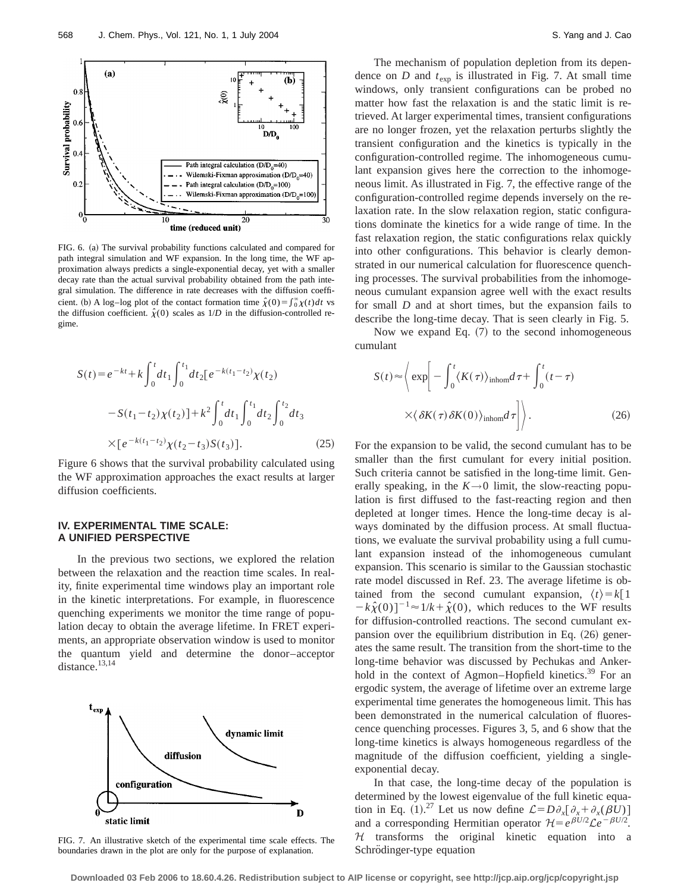

FIG. 6. (a) The survival probability functions calculated and compared for path integral simulation and WF expansion. In the long time, the WF approximation always predicts a single-exponential decay, yet with a smaller decay rate than the actual survival probability obtained from the path integral simulation. The difference in rate decreases with the diffusion coefficient. (b) A log–log plot of the contact formation time  $\hat{\chi}(0) = \int_0^\infty \chi(t) dt$  vs the diffusion coefficient.  $\hat{\chi}(0)$  scales as  $1/D$  in the diffusion-controlled regime.

$$
S(t) = e^{-kt} + k \int_0^t dt_1 \int_0^{t_1} dt_2 [e^{-k(t_1 - t_2)} \chi(t_2)
$$
  

$$
- S(t_1 - t_2) \chi(t_2)] + k^2 \int_0^t dt_1 \int_0^{t_1} dt_2 \int_0^{t_2} dt_3
$$
  

$$
\times [e^{-k(t_1 - t_2)} \chi(t_2 - t_3) S(t_3)].
$$
 (25)

Figure 6 shows that the survival probability calculated using the WF approximation approaches the exact results at larger diffusion coefficients.

#### **IV. EXPERIMENTAL TIME SCALE: A UNIFIED PERSPECTIVE**

In the previous two sections, we explored the relation between the relaxation and the reaction time scales. In reality, finite experimental time windows play an important role in the kinetic interpretations. For example, in fluorescence quenching experiments we monitor the time range of population decay to obtain the average lifetime. In FRET experiments, an appropriate observation window is used to monitor the quantum yield and determine the donor–acceptor distance.<sup>13,14</sup>



FIG. 7. An illustrative sketch of the experimental time scale effects. The boundaries drawn in the plot are only for the purpose of explanation.

The mechanism of population depletion from its dependence on  $D$  and  $t_{exp}$  is illustrated in Fig. 7. At small time windows, only transient configurations can be probed no matter how fast the relaxation is and the static limit is retrieved. At larger experimental times, transient configurations are no longer frozen, yet the relaxation perturbs slightly the transient configuration and the kinetics is typically in the configuration-controlled regime. The inhomogeneous cumulant expansion gives here the correction to the inhomogeneous limit. As illustrated in Fig. 7, the effective range of the configuration-controlled regime depends inversely on the relaxation rate. In the slow relaxation region, static configurations dominate the kinetics for a wide range of time. In the fast relaxation region, the static configurations relax quickly into other configurations. This behavior is clearly demonstrated in our numerical calculation for fluorescence quenching processes. The survival probabilities from the inhomogeneous cumulant expansion agree well with the exact results for small *D* and at short times, but the expansion fails to describe the long-time decay. That is seen clearly in Fig. 5.

Now we expand Eq.  $(7)$  to the second inhomogeneous cumulant

$$
S(t) \approx \left\langle \exp\left[-\int_0^t \langle K(\tau) \rangle_{\text{inhom}} d\tau + \int_0^t (t-\tau) \right. \\ \times \left\langle \delta K(\tau) \delta K(0) \rangle_{\text{inhom}} d\tau \right| \right\rangle. \tag{26}
$$

For the expansion to be valid, the second cumulant has to be smaller than the first cumulant for every initial position. Such criteria cannot be satisfied in the long-time limit. Generally speaking, in the  $K\rightarrow 0$  limit, the slow-reacting population is first diffused to the fast-reacting region and then depleted at longer times. Hence the long-time decay is always dominated by the diffusion process. At small fluctuations, we evaluate the survival probability using a full cumulant expansion instead of the inhomogeneous cumulant expansion. This scenario is similar to the Gaussian stochastic rate model discussed in Ref. 23. The average lifetime is obtained from the second cumulant expansion,  $\langle t \rangle = k[1]$  $-k\hat{\chi}(0)$ <sup>-1</sup> $\approx$  1/k +  $\hat{\chi}(0)$ , which reduces to the WF results for diffusion-controlled reactions. The second cumulant expansion over the equilibrium distribution in Eq.  $(26)$  generates the same result. The transition from the short-time to the long-time behavior was discussed by Pechukas and Ankerhold in the context of Agmon–Hopfield kinetics.<sup>39</sup> For an ergodic system, the average of lifetime over an extreme large experimental time generates the homogeneous limit. This has been demonstrated in the numerical calculation of fluorescence quenching processes. Figures 3, 5, and 6 show that the long-time kinetics is always homogeneous regardless of the magnitude of the diffusion coefficient, yielding a singleexponential decay.

In that case, the long-time decay of the population is determined by the lowest eigenvalue of the full kinetic equation in Eq. (1).<sup>27</sup> Let us now define  $\mathcal{L} = D \partial_x \left[ \partial_x + \partial_x (\beta U) \right]$ and a corresponding Hermitian operator  $\mathcal{H} = e^{\beta U/2} \mathcal{L} e^{-\beta U/2}$ .  $H$  transforms the original kinetic equation into a Schrödinger-type equation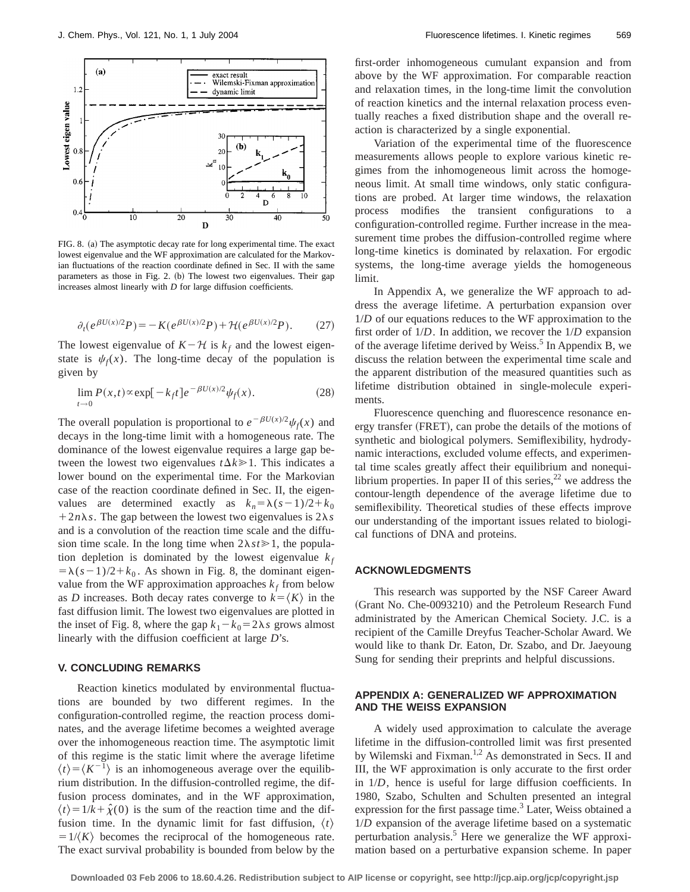

FIG. 8. (a) The asymptotic decay rate for long experimental time. The exact lowest eigenvalue and the WF approximation are calculated for the Markovian fluctuations of the reaction coordinate defined in Sec. II with the same parameters as those in Fig. 2. (b) The lowest two eigenvalues. Their gap increases almost linearly with *D* for large diffusion coefficients.

$$
\partial_t (e^{\beta U(x)/2} P) = -K(e^{\beta U(x)/2} P) + \mathcal{H}(e^{\beta U(x)/2} P). \tag{27}
$$

The lowest eigenvalue of  $K - H$  is  $k_f$  and the lowest eigenstate is  $\psi_f(x)$ . The long-time decay of the population is given by

$$
\lim_{t \to 0} P(x,t) \propto \exp[-k_f t] e^{-\beta U(x)/2} \psi_f(x). \tag{28}
$$

The overall population is proportional to  $e^{-\beta U(x)/2}\psi_f(x)$  and decays in the long-time limit with a homogeneous rate. The dominance of the lowest eigenvalue requires a large gap between the lowest two eigenvalues  $t\Delta k \ge 1$ . This indicates a lower bound on the experimental time. For the Markovian case of the reaction coordinate defined in Sec. II, the eigenvalues are determined exactly as  $k_n = \lambda (s-1)/2 + k_0$  $1 + 2n\lambda s$ . The gap between the lowest two eigenvalues is  $2\lambda s$ and is a convolution of the reaction time scale and the diffusion time scale. In the long time when  $2\lambda st \ge 1$ , the population depletion is dominated by the lowest eigenvalue  $k_f$  $=\lambda(s-1)/2+k_0$ . As shown in Fig. 8, the dominant eigenvalue from the WF approximation approaches  $k_f$  from below as *D* increases. Both decay rates converge to  $k = \langle K \rangle$  in the fast diffusion limit. The lowest two eigenvalues are plotted in the inset of Fig. 8, where the gap  $k_1 - k_0 = 2\lambda s$  grows almost linearly with the diffusion coefficient at large *D*'s.

#### **V. CONCLUDING REMARKS**

Reaction kinetics modulated by environmental fluctuations are bounded by two different regimes. In the configuration-controlled regime, the reaction process dominates, and the average lifetime becomes a weighted average over the inhomogeneous reaction time. The asymptotic limit of this regime is the static limit where the average lifetime  $\langle t \rangle = \langle K^{-1} \rangle$  is an inhomogeneous average over the equilibrium distribution. In the diffusion-controlled regime, the diffusion process dominates, and in the WF approximation,  $\langle t \rangle = 1/k + \hat{\chi}(0)$  is the sum of the reaction time and the diffusion time. In the dynamic limit for fast diffusion,  $\langle t \rangle$  $=1/\langle K \rangle$  becomes the reciprocal of the homogeneous rate. The exact survival probability is bounded from below by the first-order inhomogeneous cumulant expansion and from above by the WF approximation. For comparable reaction and relaxation times, in the long-time limit the convolution of reaction kinetics and the internal relaxation process eventually reaches a fixed distribution shape and the overall reaction is characterized by a single exponential.

Variation of the experimental time of the fluorescence measurements allows people to explore various kinetic regimes from the inhomogeneous limit across the homogeneous limit. At small time windows, only static configurations are probed. At larger time windows, the relaxation process modifies the transient configurations to a configuration-controlled regime. Further increase in the measurement time probes the diffusion-controlled regime where long-time kinetics is dominated by relaxation. For ergodic systems, the long-time average yields the homogeneous limit.

In Appendix A, we generalize the WF approach to address the average lifetime. A perturbation expansion over 1/*D* of our equations reduces to the WF approximation to the first order of 1/*D*. In addition, we recover the 1/*D* expansion of the average lifetime derived by Weiss.<sup>5</sup> In Appendix B, we discuss the relation between the experimental time scale and the apparent distribution of the measured quantities such as lifetime distribution obtained in single-molecule experiments.

Fluorescence quenching and fluorescence resonance energy transfer (FRET), can probe the details of the motions of synthetic and biological polymers. Semiflexibility, hydrodynamic interactions, excluded volume effects, and experimental time scales greatly affect their equilibrium and nonequilibrium properties. In paper II of this series,  $2^2$  we address the contour-length dependence of the average lifetime due to semiflexibility. Theoretical studies of these effects improve our understanding of the important issues related to biological functions of DNA and proteins.

#### **ACKNOWLEDGMENTS**

This research was supported by the NSF Career Award (Grant No. Che-0093210) and the Petroleum Research Fund administrated by the American Chemical Society. J.C. is a recipient of the Camille Dreyfus Teacher-Scholar Award. We would like to thank Dr. Eaton, Dr. Szabo, and Dr. Jaeyoung Sung for sending their preprints and helpful discussions.

#### **APPENDIX A: GENERALIZED WF APPROXIMATION AND THE WEISS EXPANSION**

A widely used approximation to calculate the average lifetime in the diffusion-controlled limit was first presented by Wilemski and Fixman.<sup>1,2</sup> As demonstrated in Secs. II and III, the WF approximation is only accurate to the first order in 1/*D*, hence is useful for large diffusion coefficients. In 1980, Szabo, Schulten and Schulten presented an integral expression for the first passage time. $3$  Later, Weiss obtained a 1/*D* expansion of the average lifetime based on a systematic perturbation analysis.5 Here we generalize the WF approximation based on a perturbative expansion scheme. In paper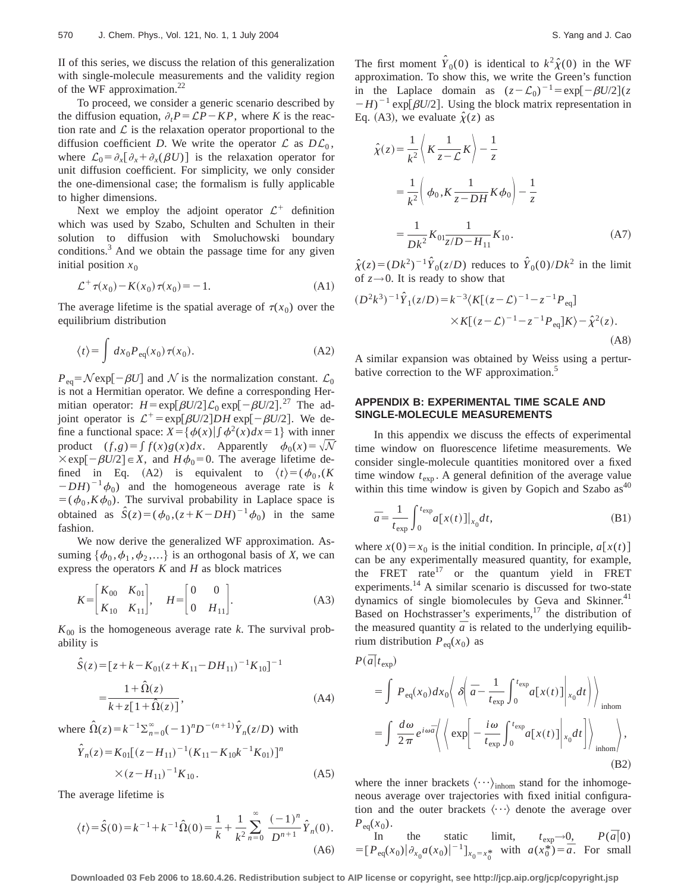II of this series, we discuss the relation of this generalization with single-molecule measurements and the validity region of the WF approximation.<sup>22</sup>

To proceed, we consider a generic scenario described by the diffusion equation,  $\partial_t P = \mathcal{L}P - KP$ , where *K* is the reaction rate and  $\mathcal L$  is the relaxation operator proportional to the diffusion coefficient *D*. We write the operator  $\mathcal L$  as  $D\mathcal L_0$ , where  $\mathcal{L}_0 = \partial_x [\partial_x + \partial_x (\beta U)]$  is the relaxation operator for unit diffusion coefficient. For simplicity, we only consider the one-dimensional case; the formalism is fully applicable to higher dimensions.

Next we employ the adjoint operator  $\mathcal{L}^+$  definition which was used by Szabo, Schulten and Schulten in their solution to diffusion with Smoluchowski boundary conditions.<sup>3</sup> And we obtain the passage time for any given initial position  $x_0$ 

$$
\mathcal{L}^+ \tau(x_0) - K(x_0) \tau(x_0) = -1. \tag{A1}
$$

The average lifetime is the spatial average of  $\tau(x_0)$  over the equilibrium distribution

$$
\langle t \rangle = \int dx_0 P_{\text{eq}}(x_0) \,\tau(x_0). \tag{A2}
$$

 $P_{eq} = \mathcal{N}$ exp $[-\beta U]$  and  $\mathcal{N}$  is the normalization constant.  $\mathcal{L}_0$ is not a Hermitian operator. We define a corresponding Hermitian operator:  $H = \exp[\beta U/2] \mathcal{L}_0 \exp[-\beta U/2]$ .<sup>27</sup> The adjoint operator is  $\mathcal{L}^+$  = exp[ $\beta U/2$ ]*DH* exp[ $-\beta U/2$ ]. We define a functional space:  $X = \{\phi(x) | \int \phi^2(x) dx = 1\}$  with inner product  $(f,g) = \int f(x)g(x)dx$ . Apparently  $\phi_0(x) = \sqrt{\mathcal{N}}$  $\times$ exp $[-\beta U/2] \in X$ , and  $H\phi_0 = 0$ . The average lifetime defined in Eq. (A2) is equivalent to  $\langle t \rangle = (\phi_0, (K \circ \phi_0))^T$  $(DH)^{-1}\phi_0$  and the homogeneous average rate is *k*  $=(\phi_0, K\phi_0)$ . The survival probability in Laplace space is obtained as  $\hat{S}(z) = (\phi_0, (z + K - DH)^{-1} \phi_0)$  in the same fashion.

We now derive the generalized WF approximation. Assuming  $\{\phi_0, \phi_1, \phi_2, \ldots\}$  is an orthogonal basis of *X*, we can express the operators *K* and *H* as block matrices

$$
K = \begin{bmatrix} K_{00} & K_{01} \\ K_{10} & K_{11} \end{bmatrix}, \quad H = \begin{bmatrix} 0 & 0 \\ 0 & H_{11} \end{bmatrix}.
$$
 (A3)

 $K_{00}$  is the homogeneous average rate *k*. The survival probability is

$$
\hat{S}(z) = [z + k - K_{01}(z + K_{11} - DH_{11})^{-1}K_{10}]^{-1}
$$
  
= 
$$
\frac{1 + \hat{\Omega}(z)}{k + z[1 + \hat{\Omega}(z)]},
$$
 (A4)

where  $\hat{\Omega}(z) = k^{-1} \sum_{n=0}^{\infty} (-1)^n D^{-(n+1)} \hat{Y}_n(z/D)$  with

$$
\hat{Y}_n(z) = K_{01}[(z - H_{11})^{-1}(K_{11} - K_{10}k^{-1}K_{01})]^n
$$
  
× $(z - H_{11})^{-1}K_{10}$ . (A5)

The average lifetime is

$$
\langle t \rangle = \hat{S}(0) = k^{-1} + k^{-1} \hat{\Omega}(0) = \frac{1}{k} + \frac{1}{k^2} \sum_{n=0}^{\infty} \frac{(-1)^n}{D^{n+1}} \hat{Y}_n(0).
$$
\n(A6)

The first moment  $\hat{Y}_0(0)$  is identical to  $k^2 \hat{\chi}(0)$  in the WF approximation. To show this, we write the Green's function in the Laplace domain as  $(z - \mathcal{L}_0)^{-1} = \exp[-\beta U/2](z)$  $-H$ <sup>-1</sup> exp[ $\beta U/2$ ]. Using the block matrix representation in Eq. (A3), we evaluate  $\hat{\chi}(z)$  as

$$
\hat{\chi}(z) = \frac{1}{k^2} \left\langle K \frac{1}{z - \mathcal{L}} K \right\rangle - \frac{1}{z}
$$
\n
$$
= \frac{1}{k^2} \left( \phi_0, K \frac{1}{z - DH} K \phi_0 \right) - \frac{1}{z}
$$
\n
$$
= \frac{1}{Dk^2} K_{01} \frac{1}{z/D - H_{11}} K_{10}.
$$
\n(A7)

 $\hat{\chi}(z) = (Dk^2)^{-1} \hat{Y}_0(z/D)$  reduces to  $\hat{Y}_0(0)/Dk^2$  in the limit of  $z \rightarrow 0$ . It is ready to show that

$$
(D^2k^3)^{-1}\hat{Y}_1(z/D) = k^{-3}\langle K[(z-\mathcal{L})^{-1} - z^{-1}P_{\text{eq}}] \times K[(z-\mathcal{L})^{-1} - z^{-1}P_{\text{eq}}]K \rangle - \hat{\chi}^2(z).
$$
\n(A8)

A similar expansion was obtained by Weiss using a perturbative correction to the WF approximation.<sup>5</sup>

## **APPENDIX B: EXPERIMENTAL TIME SCALE AND SINGLE-MOLECULE MEASUREMENTS**

In this appendix we discuss the effects of experimental time window on fluorescence lifetime measurements. We consider single-molecule quantities monitored over a fixed time window  $t_{\text{exp}}$ . A general definition of the average value within this time window is given by Gopich and Szabo  $as<sup>40</sup>$ 

$$
\bar{a} = \frac{1}{t_{\exp}} \int_0^{t_{\exp}} a[x(t)]|_{x_0} dt,
$$
\n(B1)

where  $x(0) = x_0$  is the initial condition. In principle,  $a[x(t)]$ can be any experimentally measured quantity, for example, the FRET rate $17$  or the quantum yield in FRET experiments.<sup>14</sup> A similar scenario is discussed for two-state dynamics of single biomolecules by Geva and Skinner.<sup>41</sup> Based on Hochstrasser's experiments, $17$  the distribution of the measured quantity  $\bar{a}$  is related to the underlying equilibrium distribution  $P_{eq}(x_0)$  as

$$
P(\vec{a}|t_{\exp})
$$
\n
$$
= \int P_{\text{eq}}(x_0) dx_0 \left\langle \delta \left( \vec{a} - \frac{1}{t_{\exp}} \int_0^{t_{\exp}} a[x(t)] \Big|_{x_0} dt \right) \right\rangle_{\text{inhom}}
$$
\n
$$
= \int \frac{d\omega}{2\pi} e^{i\omega \vec{a}} \left\langle \left\langle \exp \left( -\frac{i\omega}{t_{\exp}} \int_0^{t_{\exp}} a[x(t)] \Big|_{x_0} dt \right) \right\rangle_{\text{inhom}} \right\rangle, \tag{B2}
$$

where the inner brackets  $\langle \cdots \rangle_{\text{inhom}}$  stand for the inhomogeneous average over trajectories with fixed initial configuration and the outer brackets  $\langle \cdots \rangle$  denote the average over  $P_{eq}(x_0)$ .

In the static limit, 
$$
t_{\exp}\rightarrow 0
$$
,  $P(\bar{a}|0)$   
=  $[P_{\text{eq}}(x_0)|\partial_{x_0}a(x_0)|^{-1}]_{x_0=x_0^*}$  with  $a(x_0^*)=\bar{a}$ . For small